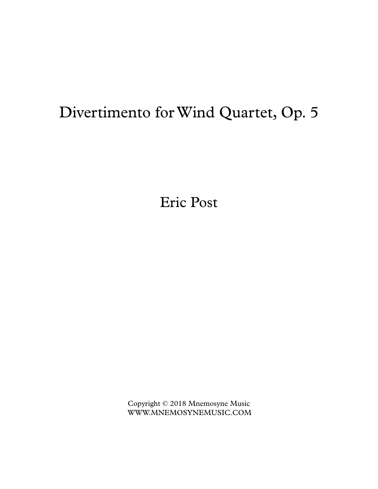## Divertimento forWind Quartet, Op. 5

Eric Post

Copyright © 2018 Mnemosyne Music WWW.MNEMOSYNEMUSIC.COM